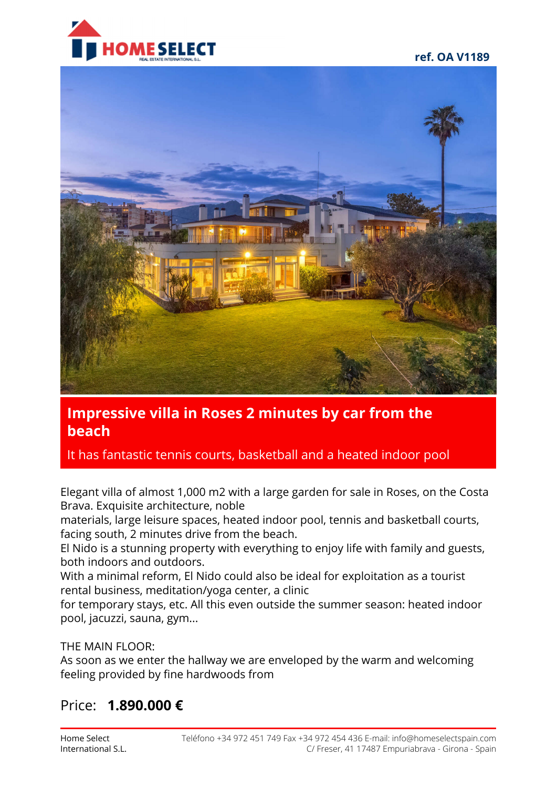



# **Impressive villa in Roses 2 minutes by car from the beach**

It has fantastic tennis courts, basketball and a heated indoor pool

Elegant villa of almost 1,000 m2 with a large garden for sale in Roses, on the Costa Brava. Exquisite architecture, noble

materials, large leisure spaces, heated indoor pool, tennis and basketball courts, facing south, 2 minutes drive from the beach.

El Nido is a stunning property with everything to enjoy life with family and guests, both indoors and outdoors.

With a minimal reform, El Nido could also be ideal for exploitation as a tourist rental business, meditation/yoga center, a clinic

for temporary stays, etc. All this even outside the summer season: heated indoor pool, jacuzzi, sauna, gym...

### THE MAIN FLOOR:

As soon as we enter the hallway we are enveloped by the warm and welcoming feeling provided by fine hardwoods from

# Price: **1.890.000 €**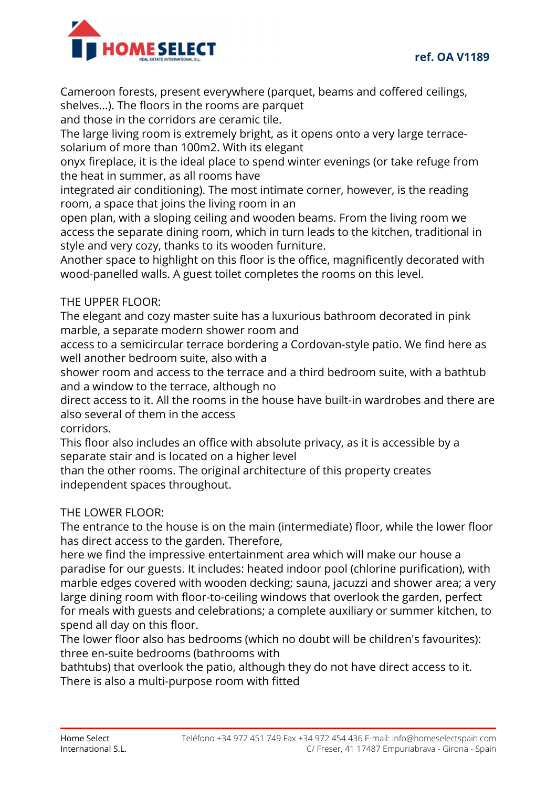

Cameroon forests, present everywhere (parquet, beams and coffered ceilings, shelves...). The floors in the rooms are parquet

and those in the corridors are ceramic tile.

The large living room is extremely bright, as it opens onto a very large terracesolarium of more than 100m2. With its elegant

onyx fireplace, it is the ideal place to spend winter evenings (or take refuge from the heat in summer, as all rooms have

integrated air conditioning). The most intimate corner, however, is the reading room, a space that joins the living room in an

open plan, with a sloping ceiling and wooden beams. From the living room we access the separate dining room, which in turn leads to the kitchen, traditional in style and very cozy, thanks to its wooden furniture.

Another space to highlight on this floor is the office, magnificently decorated with wood-panelled walls. A guest toilet completes the rooms on this level.

### THE UPPER FLOOR:

The elegant and cozy master suite has a luxurious bathroom decorated in pink marble, a separate modern shower room and

access to a semicircular terrace bordering a Cordovan-style patio. We find here as well another bedroom suite, also with a

shower room and access to the terrace and a third bedroom suite, with a bathtub and a window to the terrace, although no

direct access to it. All the rooms in the house have built-in wardrobes and there are also several of them in the access

corridors.

This floor also includes an office with absolute privacy, as it is accessible by a separate stair and is located on a higher level

than the other rooms. The original architecture of this property creates independent spaces throughout.

#### THE LOWER FLOOR:

The entrance to the house is on the main (intermediate) floor, while the lower floor has direct access to the garden. Therefore,

here we find the impressive entertainment area which will make our house a paradise for our guests. It includes: heated indoor pool (chlorine purification), with marble edges covered with wooden decking; sauna, jacuzzi and shower area; a very large dining room with floor-to-ceiling windows that overlook the garden, perfect for meals with guests and celebrations; a complete auxiliary or summer kitchen, to spend all day on this floor.

The lower floor also has bedrooms (which no doubt will be children's favourites): three en-suite bedrooms (bathrooms with

bathtubs) that overlook the patio, although they do not have direct access to it. There is also a multi-purpose room with fitted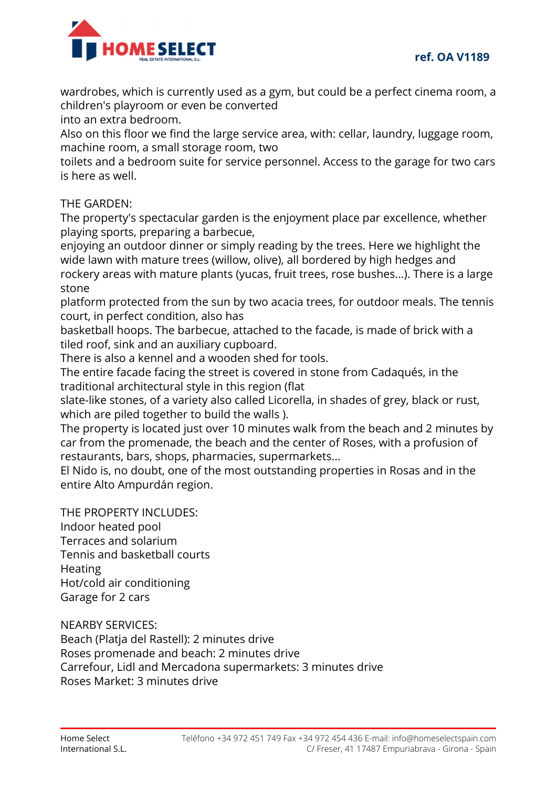

wardrobes, which is currently used as a gym, but could be a perfect cinema room, a children's playroom or even be converted

into an extra bedroom.

Also on this floor we find the large service area, with: cellar, laundry, luggage room, machine room, a small storage room, two

toilets and a bedroom suite for service personnel. Access to the garage for two cars is here as well.

#### THE GARDEN:

The property's spectacular garden is the enjoyment place par excellence, whether playing sports, preparing a barbecue,

enjoying an outdoor dinner or simply reading by the trees. Here we highlight the wide lawn with mature trees (willow, olive), all bordered by high hedges and rockery areas with mature plants (yucas, fruit trees, rose bushes...). There is a large stone

platform protected from the sun by two acacia trees, for outdoor meals. The tennis court, in perfect condition, also has

basketball hoops. The barbecue, attached to the facade, is made of brick with a tiled roof, sink and an auxiliary cupboard.

There is also a kennel and a wooden shed for tools.

The entire facade facing the street is covered in stone from Cadaqués, in the traditional architectural style in this region (flat

slate-like stones, of a variety also called Licorella, in shades of grey, black or rust, which are piled together to build the walls ).

The property is located just over 10 minutes walk from the beach and 2 minutes by car from the promenade, the beach and the center of Roses, with a profusion of restaurants, bars, shops, pharmacies, supermarkets...

El Nido is, no doubt, one of the most outstanding properties in Rosas and in the entire Alto Ampurdán region.

THE PROPERTY INCLUDES:

Indoor heated pool Terraces and solarium Tennis and basketball courts **Heating** Hot/cold air conditioning Garage for 2 cars

NEARBY SERVICES:

Beach (Platja del Rastell): 2 minutes drive Roses promenade and beach: 2 minutes drive Carrefour, Lidl and Mercadona supermarkets: 3 minutes drive Roses Market: 3 minutes drive